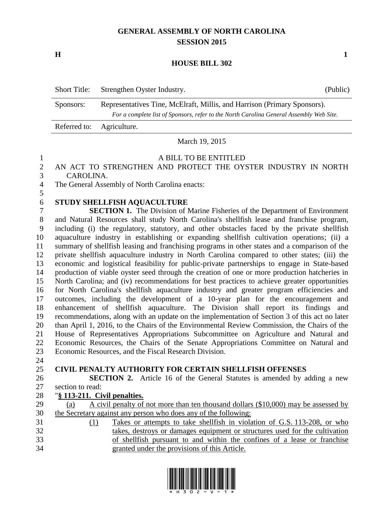# **GENERAL ASSEMBLY OF NORTH CAROLINA SESSION 2015**

**H 1**

#### **HOUSE BILL 302**

| <b>Short Title:</b> | Strengthen Oyster Industry.                                                             | (Public) |  |
|---------------------|-----------------------------------------------------------------------------------------|----------|--|
| Sponsors:           | Representatives Tine, McElraft, Millis, and Harrison (Primary Sponsors).                |          |  |
|                     | For a complete list of Sponsors, refer to the North Carolina General Assembly Web Site. |          |  |
| Referred to:        | Agriculture.                                                                            |          |  |

#### March 19, 2015

### A BILL TO BE ENTITLED

# AN ACT TO STRENGTHEN AND PROTECT THE OYSTER INDUSTRY IN NORTH CAROLINA.

The General Assembly of North Carolina enacts:

# **STUDY SHELLFISH AQUACULTURE**

 **SECTION 1.** The Division of Marine Fisheries of the Department of Environment and Natural Resources shall study North Carolina's shellfish lease and franchise program, including (i) the regulatory, statutory, and other obstacles faced by the private shellfish aquaculture industry in establishing or expanding shellfish cultivation operations; (ii) a summary of shellfish leasing and franchising programs in other states and a comparison of the private shellfish aquaculture industry in North Carolina compared to other states; (iii) the economic and logistical feasibility for public-private partnerships to engage in State-based production of viable oyster seed through the creation of one or more production hatcheries in North Carolina; and (iv) recommendations for best practices to achieve greater opportunities for North Carolina's shellfish aquaculture industry and greater program efficiencies and outcomes, including the development of a 10-year plan for the encouragement and enhancement of shellfish aquaculture. The Division shall report its findings and recommendations, along with an update on the implementation of Section 3 of this act no later than April 1, 2016, to the Chairs of the Environmental Review Commission, the Chairs of the House of Representatives Appropriations Subcommittee on Agriculture and Natural and Economic Resources, the Chairs of the Senate Appropriations Committee on Natural and Economic Resources, and the Fiscal Research Division.

### **CIVIL PENALTY AUTHORITY FOR CERTAIN SHELLFISH OFFENSES**

 **SECTION 2.** Article 16 of the General Statutes is amended by adding a new section to read:

### "**§ 113-211. Civil penalties.**

- 29 (a) A civil penalty of not more than ten thousand dollars  $(\$10,000)$  may be assessed by the Secretary against any person who does any of the following:
- (1) Takes or attempts to take shellfish in violation of G.S. 113-208, or who takes, destroys or damages equipment or structures used for the cultivation of shellfish pursuant to and within the confines of a lease or franchise granted under the provisions of this Article.

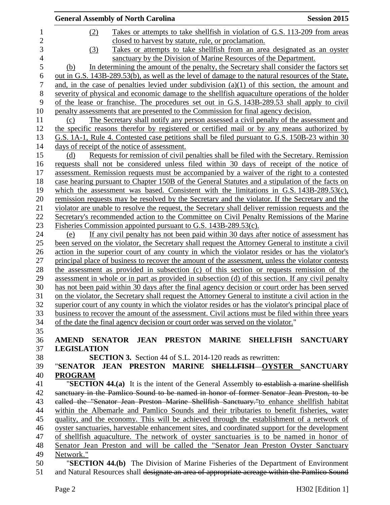| <b>General Assembly of North Carolina</b>                                                                                                                                                         | <b>Session 2015</b> |
|---------------------------------------------------------------------------------------------------------------------------------------------------------------------------------------------------|---------------------|
| Takes or attempts to take shell fish in violation of G.S. 113-209 from areas<br>(2)                                                                                                               |                     |
| closed to harvest by statute, rule, or proclamation.                                                                                                                                              |                     |
| Takes or attempts to take shell fish from an area designated as an oyster<br>(3)                                                                                                                  |                     |
| sanctuary by the Division of Marine Resources of the Department.                                                                                                                                  |                     |
| In determining the amount of the penalty, the Secretary shall consider the factors set<br>(b)                                                                                                     |                     |
| out in G.S. 143B-289.53(b), as well as the level of damage to the natural resources of the State,                                                                                                 |                     |
| and, in the case of penalties levied under subdivision $(a)(1)$ of this section, the amount and                                                                                                   |                     |
| severity of physical and economic damage to the shellfish aquaculture operations of the holder                                                                                                    |                     |
| of the lease or franchise. The procedures set out in G.S. 143B-289.53 shall apply to civil                                                                                                        |                     |
| penalty assessments that are presented to the Commission for final agency decision.                                                                                                               |                     |
| The Secretary shall notify any person assessed a civil penalty of the assessment and<br>(c)                                                                                                       |                     |
| the specific reasons therefor by registered or certified mail or by any means authorized by                                                                                                       |                     |
| G.S. 1A-1, Rule 4. Contested case petitions shall be filed pursuant to G.S. 150B-23 within 30                                                                                                     |                     |
| days of receipt of the notice of assessment.                                                                                                                                                      |                     |
| Requests for remission of civil penalties shall be filed with the Secretary. Remission<br>(d)                                                                                                     |                     |
| requests shall not be considered unless filed within 30 days of receipt of the notice of                                                                                                          |                     |
| assessment. Remission requests must be accompanied by a waiver of the right to a contested                                                                                                        |                     |
| case hearing pursuant to Chapter 150B of the General Statutes and a stipulation of the facts on                                                                                                   |                     |
| which the assessment was based. Consistent with the limitations in G.S. $143B-289.53(c)$ ,                                                                                                        |                     |
| remission requests may be resolved by the Secretary and the violator. If the Secretary and the                                                                                                    |                     |
|                                                                                                                                                                                                   |                     |
| violator are unable to resolve the request, the Secretary shall deliver remission requests and the                                                                                                |                     |
| Secretary's recommended action to the Committee on Civil Penalty Remissions of the Marine                                                                                                         |                     |
| Fisheries Commission appointed pursuant to G.S. 143B-289.53(c).                                                                                                                                   |                     |
| If any civil penalty has not been paid within 30 days after notice of assessment has<br>(e)<br>been served on the violator, the Secretary shall request the Attorney General to institute a civil |                     |
| <u>action in the superior court of any county in which the violator resides or has the violator's</u>                                                                                             |                     |
| principal place of business to recover the amount of the assessment, unless the violator contests                                                                                                 |                     |
| the assessment as provided in subsection (c) of this section or requests remission of the                                                                                                         |                     |
| assessment in whole or in part as provided in subsection (d) of this section. If any civil penalty                                                                                                |                     |
| has not been paid within 30 days after the final agency decision or court order has been served                                                                                                   |                     |
| on the violator, the Secretary shall request the Attorney General to institute a civil action in the                                                                                              |                     |
| superior court of any county in which the violator resides or has the violator's principal place of                                                                                               |                     |
| business to recover the amount of the assessment. Civil actions must be filed within three years                                                                                                  |                     |
| of the date the final agency decision or court order was served on the violator."                                                                                                                 |                     |
|                                                                                                                                                                                                   |                     |
| AMEND SENATOR JEAN PRESTON MARINE SHELLFISH SANCTUARY                                                                                                                                             |                     |
| <b>LEGISLATION</b>                                                                                                                                                                                |                     |
| <b>SECTION 3.</b> Section 44 of S.L. 2014-120 reads as rewritten:                                                                                                                                 |                     |
|                                                                                                                                                                                                   |                     |
| "SENATOR JEAN PRESTON MARINE <del>SHELLFISH OYSTER</del> SANCTUARY                                                                                                                                |                     |
| <b>PROGRAM</b>                                                                                                                                                                                    |                     |
| "SECTION 44.(a) It is the intent of the General Assembly to establish a marine shellfish                                                                                                          |                     |
| sanctuary in the Pamlico Sound to be named in honor of former Senator Jean Preston, to be                                                                                                         |                     |
| ealled the "Senator Jean Preston Marine Shellfish Sanctuary."to enhance shellfish habitat                                                                                                         |                     |
| within the Albemarle and Pamlico Sounds and their tributaries to benefit fisheries, water                                                                                                         |                     |
| quality, and the economy. This will be achieved through the establishment of a network of                                                                                                         |                     |
| oyster sanctuaries, harvestable enhancement sites, and coordinated support for the development                                                                                                    |                     |
| of shellfish aquaculture. The network of oyster sanctuaries is to be named in honor of                                                                                                            |                     |
| Senator Jean Preston and will be called the "Senator Jean Preston Oyster Sanctuary                                                                                                                |                     |
| Network."                                                                                                                                                                                         |                     |
| "SECTION 44.(b) The Division of Marine Fisheries of the Department of Environment                                                                                                                 |                     |
| and Natural Resources shall designate an area of appropriate acreage within the Pamlico Sound                                                                                                     |                     |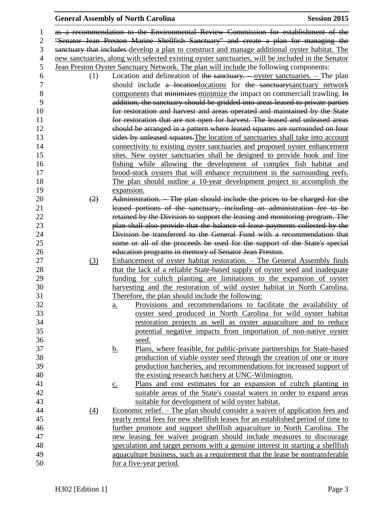#### General Assembly of North Carolina **Session 2015**

 as a recommendation to the Environmental Review Commission for establishment of the "Senator Jean Preston Marine Shellfish Sanctuary" and create a plan for managing the sanctuary that includes develop a plan to construct and manage additional oyster habitat. The new sanctuaries, along with selected existing oyster sanctuaries, will be included in the Senator Jean Preston Oyster Sanctuary Network. The plan will include the following components: 6 (1) Location and delineation of the sanctuary.  $\frac{1}{2}$  –  $\frac{1}{2}$  –  $\frac{1}{2}$  –  $\frac{1}{2}$  –  $\frac{1}{2}$  –  $\frac{1}{2}$  –  $\frac{1}{2}$  –  $\frac{1}{2}$  –  $\frac{1}{2}$  –  $\frac{1}{2}$  –  $\frac{1}{2}$  –  $\frac{1}{2}$  –  $\frac{1}{2}$  –  $\frac{1}{2}$  –  $\frac{$ should include a locationlocations for the sanctuarysanctuary network 8 components that minimizes minimize the impact on commerciall trawling. In addition, the sanctuary should be gridded into areas leased to private parties for restoration and harvest and areas operated and maintained by the State for restoration that are not open for harvest. The leased and unleased areas should be arranged in a pattern where leased squares are surrounded on four sides by unleased squares.The location of sanctuaries shall take into account connectivity to existing oyster sanctuaries and proposed oyster enhancement sites. New oyster sanctuaries shall be designed to provide hook and line fishing while allowing the development of complex fish habitat and brood-stock oysters that will enhance recruitment in the surrounding reefs. The plan should outline a 10-year development project to accomplish the expansion.  $(2)$  Administration. – The plan should include the prices to be charged for the leased portions of the sanctuary, including an administration fee to be retained by the Division to support the leasing and monitoring program. The plan shall also provide that the balance of lease payments collected by the Division be transferred to the General Fund with a recommendation that some or all of the proceeds be used for the support of the State's special education programs in memory of Senator Jean Preston. (3) Enhancement of oyster habitat restoration. – The General Assembly finds 28 that the lack of a reliable State-based supply of oyster seed and inadequate funding for cultch planting are limitations to the expansion of oyster harvesting and the restoration of wild oyster habitat in North Carolina. Therefore, the plan should include the following: a. Provisions and recommendations to facilitate the availability of oyster seed produced in North Carolina for wild oyster habitat restoration projects as well as oyster aquaculture and to reduce potential negative impacts from importation of non-native oyster seed. b. Plans, where feasible, for public-private partnerships for State-based production of viable oyster seed through the creation of one or more production hatcheries, and recommendations for increased support of the existing research hatchery at UNC-Wilmington. c. Plans and cost estimates for an expansion of cultch planting in suitable areas of the State's coastal waters in order to expand areas suitable for development of wild oyster habitat. (4) Economic relief. – The plan should consider a waiver of application fees and yearly rental fees for new shellfish leases for an established period of time to further promote and support shellfish aquaculture in North Carolina. The new leasing fee waiver program should include measures to discourage speculation and target persons with a genuine interest in starting a shellfish aquaculture business, such as a requirement that the lease be nontransferable for a five-year period.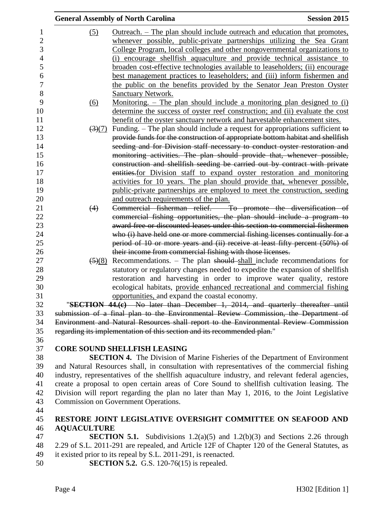|                                | <b>General Assembly of North Carolina</b>                                                       | <b>Session 2015</b> |
|--------------------------------|-------------------------------------------------------------------------------------------------|---------------------|
| (5)                            | <u>Outreach. – The plan should include outreach and education that promotes,</u>                |                     |
|                                | whenever possible, public-private partnerships utilizing the Sea Grant                          |                     |
|                                | College Program, local colleges and other nongovernmental organizations to                      |                     |
|                                | (i) encourage shell fish aquaculture and provide technical assistance to                        |                     |
|                                | broaden cost-effective technologies available to leaseholders; (ii) encourage                   |                     |
|                                | best management practices to leaseholders; and (iii) inform fishermen and                       |                     |
|                                | the public on the benefits provided by the Senator Jean Preston Oyster                          |                     |
|                                | <b>Sanctuary Network.</b>                                                                       |                     |
| <u>(6)</u>                     | Monitoring. – The plan should include a monitoring plan designed to (i)                         |                     |
|                                | determine the success of oyster reef construction; and (ii) evaluate the cost                   |                     |
|                                | benefit of the oyster sanctuary network and harvestable enhancement sites.                      |                     |
| $\left(3\right)\left(7\right)$ | Funding. – The plan should include a request for appropriations sufficient to                   |                     |
|                                | provide funds for the construction of appropriate bottom habitat and shellfish                  |                     |
|                                | seeding and for Division staff necessary to conduct oyster restoration and                      |                     |
|                                | monitoring activities. The plan should provide that, whenever possible,                         |                     |
|                                | construction and shellfish seeding be carried out by contract with private                      |                     |
|                                | entities-for Division staff to expand oyster restoration and monitoring                         |                     |
|                                | activities for 10 years. The plan should provide that, whenever possible,                       |                     |
|                                | public-private partnerships are employed to meet the construction, seeding                      |                     |
|                                | and outreach requirements of the plan.                                                          |                     |
| (4)                            | Commercial fisherman relief. - To promote the diversification of                                |                     |
|                                | commercial fishing opportunities, the plan should include a program to                          |                     |
|                                | award free or discounted leases under this section to commercial fishermen                      |                     |
|                                | who (i) have held one or more commercial fishing licenses continually for a                     |                     |
|                                | period of 10 or more years and (ii) receive at least fifty percent (50%) of                     |                     |
|                                | their income from commercial fishing with those licenses.                                       |                     |
| $\left( \frac{5}{2} \right)$   | Recommendations. – The plan should shall include recommendations for                            |                     |
|                                | statutory or regulatory changes needed to expedite the expansion of shellfish                   |                     |
|                                | restoration and harvesting in order to improve water quality, restore                           |                     |
|                                | ecological habitats, provide enhanced recreational and commercial fishing                       |                     |
|                                | opportunities, and expand the coastal economy.                                                  |                     |
|                                | "SECTION 44.(e) No later than December 1, 2014, and quarterly thereafter until                  |                     |
|                                | submission of a final plan to the Environmental Review Commission, the Department of            |                     |
|                                | Environment and Natural Resources shall report to the Environmental Review Commission           |                     |
|                                | regarding its implementation of this section and its recommended plan."                         |                     |
|                                |                                                                                                 |                     |
|                                | <b>CORE SOUND SHELLFISH LEASING</b>                                                             |                     |
|                                | <b>SECTION 4.</b> The Division of Marine Fisheries of the Department of Environment             |                     |
|                                | and Natural Resources shall, in consultation with representatives of the commercial fishing     |                     |
|                                | industry, representatives of the shellfish aquaculture industry, and relevant federal agencies, |                     |
|                                | create a proposal to open certain areas of Core Sound to shellfish cultivation leasing. The     |                     |
|                                | Division will report regarding the plan no later than May 1, 2016, to the Joint Legislative     |                     |
|                                | Commission on Government Operations.                                                            |                     |
|                                |                                                                                                 |                     |
|                                | RESTORE JOINT LEGISLATIVE OVERSIGHT COMMITTEE ON SEAFOOD AND                                    |                     |
| <b>AQUACULTURE</b>             |                                                                                                 |                     |
|                                | <b>SECTION 5.1.</b> Subdivisions 1.2(a)(5) and 1.2(b)(3) and Sections 2.26 through              |                     |
|                                | 2.29 of S.L. 2011-291 are repealed, and Article 12F of Chapter 120 of the General Statutes, as  |                     |

- it existed prior to its repeal by S.L. 2011-291, is reenacted.
- **SECTION 5.2.** G.S. 120-76(15) is repealed.